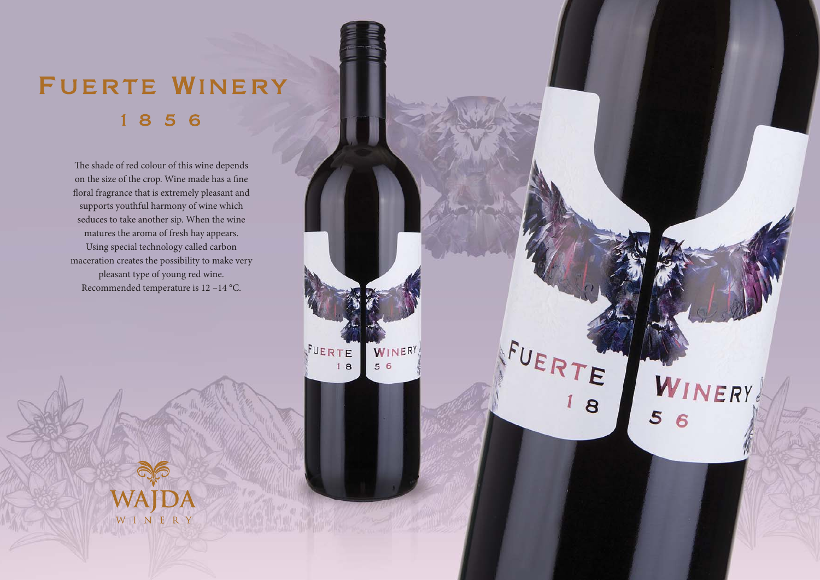## FUERTE WINERY 856

The shade of red colour of this wine depends on the size of the crop. Wine made has a fine floral fragrance that is extremely pleasant and supports youthful harmony of wine which seduces to take another sip. When the wine matures the aroma of fresh hay appears. Using special technology called carbon maceration creates the possibility to make very pleasant type of young red wine. Recommended temperature is 12 –14 °C.

> FUERTE WINERY  $56$  $18$

FUERTE

WINERY

5